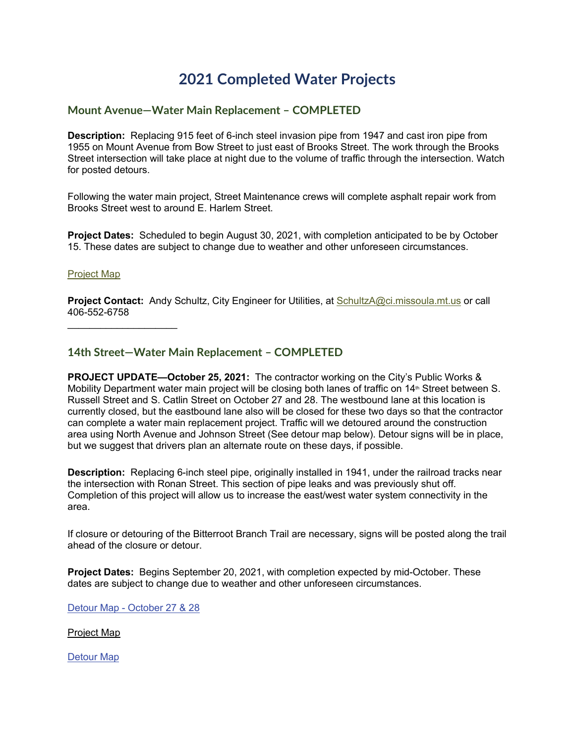# **2021 Completed Water Projects**

## **Mount Avenue—Water Main Replacement – COMPLETED**

**Description:** Replacing 915 feet of 6-inch steel invasion pipe from 1947 and cast iron pipe from 1955 on Mount Avenue from Bow Street to just east of Brooks Street. The work through the Brooks Street intersection will take place at night due to the volume of traffic through the intersection. Watch for posted detours.

Following the water main project, Street Maintenance crews will complete asphalt repair work from Brooks Street west to around E. Harlem Street.

**Project Dates:** Scheduled to begin August 30, 2021, with completion anticipated to be by October 15. These dates are subject to change due to weather and other unforeseen circumstances.

#### [Project Map](https://www.ci.missoula.mt.us/DocumentCenter/View/57491/Map--MountAve)

**Project Contact:** Andy Schultz, City Engineer for Utilities, at [SchultzA@ci.missoula.mt.us](mailto:SchultzA@ci.missoula.mt.us) or call 406-552-6758

 $\overline{\phantom{a}}$  , where  $\overline{\phantom{a}}$  , where  $\overline{\phantom{a}}$ 

## **14th Street—Water Main Replacement – COMPLETED**

**PROJECT UPDATE—October 25, 2021:** The contractor working on the City's Public Works & Mobility Department water main project will be closing both lanes of traffic on 14<sup>th</sup> Street between S. Russell Street and S. Catlin Street on October 27 and 28. The westbound lane at this location is currently closed, but the eastbound lane also will be closed for these two days so that the contractor can complete a water main replacement project. Traffic will we detoured around the construction area using North Avenue and Johnson Street (See detour map below). Detour signs will be in place, but we suggest that drivers plan an alternate route on these days, if possible.

**Description:** Replacing 6-inch steel pipe, originally installed in 1941, under the railroad tracks near the intersection with Ronan Street. This section of pipe leaks and was previously shut off. Completion of this project will allow us to increase the east/west water system connectivity in the area.

If closure or detouring of the Bitterroot Branch Trail are necessary, signs will be posted along the trail ahead of the closure or detour.

**Project Dates:** Begins September 20, 2021, with completion expected by mid-October. These dates are subject to change due to weather and other unforeseen circumstances.

Detour Map - [October](http://www.ci.missoula.mt.us/DocumentCenter/View/58501/Detour-Map-10-25-2021) 27 & 28

[Project](http://www.ci.missoula.mt.us/DocumentCenter/View/57492/Map--S14thStW) Map

[Detour](http://www.ci.missoula.mt.us/DocumentCenter/View/58136/Map--Detour-Route_14th) Map